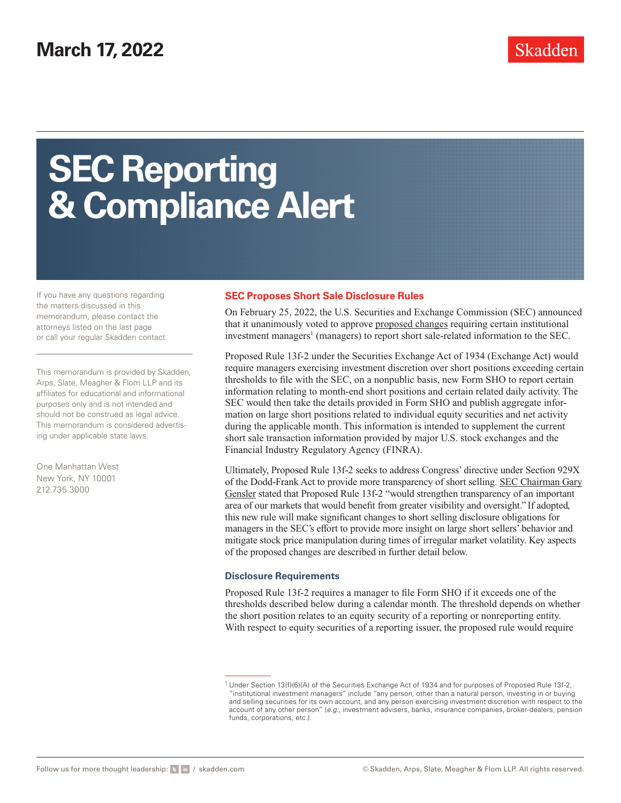# **SEC Reporting & Compliance Alert**

If you have any questions regarding the matters discussed in this memorandum, please contact the attorneys listed on the last page or call your regular Skadden contact.

This memorandum is provided by Skadden, Arps, Slate, Meagher & Flom LLP and its affiliates for educational and informational purposes only and is not intended and should not be construed as legal advice. This memorandum is considered advertising under applicable state laws.

One Manhattan West New York, NY 10001 212.735.3000

#### **SEC Proposes Short Sale Disclosure Rules**

On February 25, 2022, the U.S. Securities and Exchange Commission (SEC) announced that it unanimously voted to approve [proposed changes](https://www.skadden.com/-/media/files/publications/2022/03/sec-proposes-short-sale-disclosure-rules/short_position.pdf) requiring certain institutional investment managers<sup>1</sup> (managers) to report short sale-related information to the SEC.

Proposed Rule 13f-2 under the Securities Exchange Act of 1934 (Exchange Act) would require managers exercising investment discretion over short positions exceeding certain thresholds to file with the SEC, on a nonpublic basis, new Form SHO to report certain information relating to month-end short positions and certain related daily activity. The SEC would then take the details provided in Form SHO and publish aggregate information on large short positions related to individual equity securities and net activity during the applicable month. This information is intended to supplement the current short sale transaction information provided by major U.S. stock exchanges and the Financial Industry Regulatory Agency (FINRA).

Ultimately, Proposed Rule 13f-2 seeks to address Congress' directive under Section 929X of the Dodd-Frank Act to provide more transparency of short selling. [SEC Chairman Gary](https://www.sec.gov/news/statement/gensler-statement-rules-increase-transparency-short-sale-activity-022522) [Gensler](https://www.sec.gov/news/statement/gensler-statement-rules-increase-transparency-short-sale-activity-022522) stated that Proposed Rule 13f-2 "would strengthen transparency of an important area of our markets that would benefit from greater visibility and oversight." If adopted, this new rule will make significant changes to short selling disclosure obligations for managers in the SEC's effort to provide more insight on large short sellers' behavior and mitigate stock price manipulation during times of irregular market volatility. Key aspects of the proposed changes are described in further detail below.

#### **Disclosure Requirements**

Proposed Rule 13f-2 requires a manager to file Form SHO if it exceeds one of the thresholds described below during a calendar month. The threshold depends on whether the short position relates to an equity security of a reporting or nonreporting entity. With respect to equity securities of a reporting issuer, the proposed rule would require

<sup>1</sup> Under Section 13(f)(6)(A) of the Securities Exchange Act of 1934 and for purposes of Proposed Rule 13f-2, "institutional investment managers" include "any person, other than a natural person, investing in or buying and selling securities for its own account, and any person exercising investment discretion with respect to the account of any other person" (*e.g*., investment advisers, banks, insurance companies, broker-dealers, pension funds, corporations, etc.).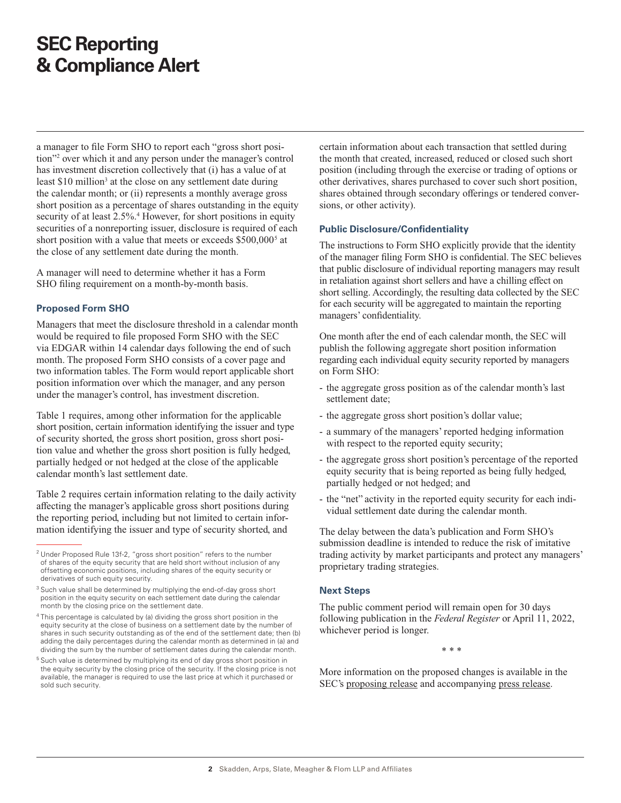## **SEC Reporting & Compliance Alert**

a manager to file Form SHO to report each "gross short position"2 over which it and any person under the manager's control has investment discretion collectively that (i) has a value of at least \$10 million<sup>3</sup> at the close on any settlement date during the calendar month; or (ii) represents a monthly average gross short position as a percentage of shares outstanding in the equity security of at least 2.5%.<sup>4</sup> However, for short positions in equity securities of a nonreporting issuer, disclosure is required of each short position with a value that meets or exceeds \$500,000<sup>5</sup> at the close of any settlement date during the month.

A manager will need to determine whether it has a Form SHO filing requirement on a month-by-month basis.

#### **Proposed Form SHO**

Managers that meet the disclosure threshold in a calendar month would be required to file proposed Form SHO with the SEC via EDGAR within 14 calendar days following the end of such month. The proposed Form SHO consists of a cover page and two information tables. The Form would report applicable short position information over which the manager, and any person under the manager's control, has investment discretion.

Table 1 requires, among other information for the applicable short position, certain information identifying the issuer and type of security shorted, the gross short position, gross short position value and whether the gross short position is fully hedged, partially hedged or not hedged at the close of the applicable calendar month's last settlement date.

Table 2 requires certain information relating to the daily activity affecting the manager's applicable gross short positions during the reporting period, including but not limited to certain information identifying the issuer and type of security shorted, and

certain information about each transaction that settled during the month that created, increased, reduced or closed such short position (including through the exercise or trading of options or other derivatives, shares purchased to cover such short position, shares obtained through secondary offerings or tendered conversions, or other activity).

#### **Public Disclosure/Confidentiality**

The instructions to Form SHO explicitly provide that the identity of the manager filing Form SHO is confidential. The SEC believes that public disclosure of individual reporting managers may result in retaliation against short sellers and have a chilling effect on short selling. Accordingly, the resulting data collected by the SEC for each security will be aggregated to maintain the reporting managers' confidentiality.

One month after the end of each calendar month, the SEC will publish the following aggregate short position information regarding each individual equity security reported by managers on Form SHO:

- the aggregate gross position as of the calendar month's last settlement date;
- the aggregate gross short position's dollar value;
- a summary of the managers' reported hedging information with respect to the reported equity security;
- the aggregate gross short position's percentage of the reported equity security that is being reported as being fully hedged, partially hedged or not hedged; and
- the "net" activity in the reported equity security for each individual settlement date during the calendar month.

The delay between the data's publication and Form SHO's submission deadline is intended to reduce the risk of imitative trading activity by market participants and protect any managers' proprietary trading strategies.

#### **Next Steps**

The public comment period will remain open for 30 days following publication in the *Federal Register* or April 11, 2022, whichever period is longer.

\* \* \*

More information on the proposed changes is available in the SEC's [proposing release](https://www.skadden.com/-/media/files/publications/2022/03/sec-proposes-short-sale-disclosure-rules/short_position.pdf) and accompanying [press release.](https://www.sec.gov/news/press-release/2022-32)

<sup>2</sup> Under Proposed Rule 13f-2, "gross short position" refers to the number of shares of the equity security that are held short without inclusion of any offsetting economic positions, including shares of the equity security or derivatives of such equity security.

<sup>&</sup>lt;sup>3</sup> Such value shall be determined by multiplying the end-of-day gross short position in the equity security on each settlement date during the calendar month by the closing price on the settlement date.

<sup>4</sup> This percentage is calculated by (a) dividing the gross short position in the equity security at the close of business on a settlement date by the number of shares in such security outstanding as of the end of the settlement date; then (b) adding the daily percentages during the calendar month as determined in (a) and dividing the sum by the number of settlement dates during the calendar month.

<sup>&</sup>lt;sup>5</sup> Such value is determined by multiplying its end of day gross short position in the equity security by the closing price of the security. If the closing price is not available, the manager is required to use the last price at which it purchased or sold such security.